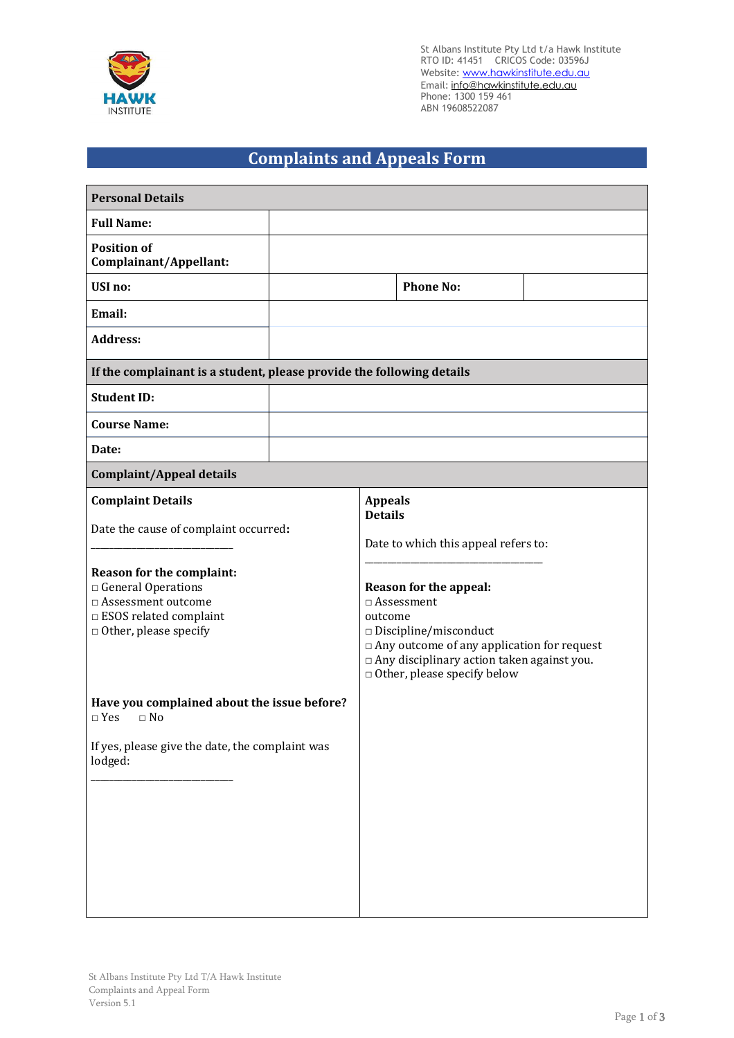

St Albans Institute Pty Ltd t/a Hawk Institute RTO ID: 41451 CRICOS Code: 03596J Website: www.hawkinstitute.edu.au Email: <u>[info@hawkinstitute.edu.au](mailto:info@hawkinstitute.edu.au)</u> Phone: 1300 159 461 ABN 19608522087

## **Complaints and Appeals Form**

| <b>Personal Details</b>                                                                                                                                                                                                                                                                                                                    |  |                                                                                                                                                                                                                                                                                                                |                  |  |  |
|--------------------------------------------------------------------------------------------------------------------------------------------------------------------------------------------------------------------------------------------------------------------------------------------------------------------------------------------|--|----------------------------------------------------------------------------------------------------------------------------------------------------------------------------------------------------------------------------------------------------------------------------------------------------------------|------------------|--|--|
| <b>Full Name:</b>                                                                                                                                                                                                                                                                                                                          |  |                                                                                                                                                                                                                                                                                                                |                  |  |  |
| <b>Position of</b><br>Complainant/Appellant:                                                                                                                                                                                                                                                                                               |  |                                                                                                                                                                                                                                                                                                                |                  |  |  |
| <b>USI</b> no:                                                                                                                                                                                                                                                                                                                             |  |                                                                                                                                                                                                                                                                                                                | <b>Phone No:</b> |  |  |
| Email:                                                                                                                                                                                                                                                                                                                                     |  |                                                                                                                                                                                                                                                                                                                |                  |  |  |
| <b>Address:</b>                                                                                                                                                                                                                                                                                                                            |  |                                                                                                                                                                                                                                                                                                                |                  |  |  |
| If the complainant is a student, please provide the following details                                                                                                                                                                                                                                                                      |  |                                                                                                                                                                                                                                                                                                                |                  |  |  |
| <b>Student ID:</b>                                                                                                                                                                                                                                                                                                                         |  |                                                                                                                                                                                                                                                                                                                |                  |  |  |
| <b>Course Name:</b>                                                                                                                                                                                                                                                                                                                        |  |                                                                                                                                                                                                                                                                                                                |                  |  |  |
| Date:                                                                                                                                                                                                                                                                                                                                      |  |                                                                                                                                                                                                                                                                                                                |                  |  |  |
| <b>Complaint/Appeal details</b>                                                                                                                                                                                                                                                                                                            |  |                                                                                                                                                                                                                                                                                                                |                  |  |  |
| <b>Complaint Details</b><br>Date the cause of complaint occurred:<br>Reason for the complaint:<br>General Operations<br>□ Assessment outcome<br>$\Box$ ESOS related complaint<br>$\Box$ Other, please specify<br>Have you complained about the issue before?<br>$\Box$ Yes<br>$\Box$ No<br>If yes, please give the date, the complaint was |  | <b>Appeals</b><br><b>Details</b><br>Date to which this appeal refers to:<br>Reason for the appeal:<br>$\square$ Assessment<br>outcome<br>$\square$ Discipline/misconduct<br>□ Any outcome of any application for request<br>□ Any disciplinary action taken against you.<br>$\Box$ Other, please specify below |                  |  |  |
| lodged:                                                                                                                                                                                                                                                                                                                                    |  |                                                                                                                                                                                                                                                                                                                |                  |  |  |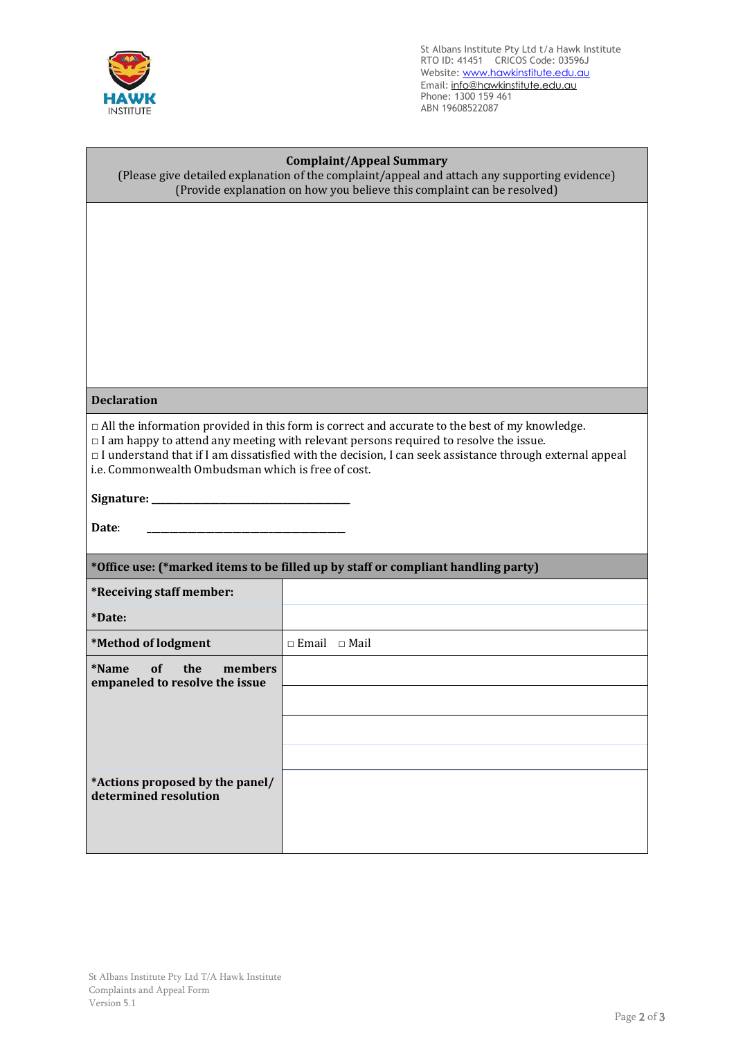

St Albans Institute Pty Ltd t/a Hawk Institute RTO ID: 41451 CRICOS Code: 03596J Website: www.hawkinstitute.edu.au Email: <u>[info@hawkinstitute.edu.au](mailto:info@hawkinstitute.edu.au)</u> Phone: 1300 159 461 ABN 19608522087

| <b>Complaint/Appeal Summary</b><br>(Please give detailed explanation of the complaint/appeal and attach any supporting evidence)<br>(Provide explanation on how you believe this complaint can be resolved)                                                                                                             |                          |  |  |  |
|-------------------------------------------------------------------------------------------------------------------------------------------------------------------------------------------------------------------------------------------------------------------------------------------------------------------------|--------------------------|--|--|--|
|                                                                                                                                                                                                                                                                                                                         |                          |  |  |  |
|                                                                                                                                                                                                                                                                                                                         |                          |  |  |  |
|                                                                                                                                                                                                                                                                                                                         |                          |  |  |  |
|                                                                                                                                                                                                                                                                                                                         |                          |  |  |  |
|                                                                                                                                                                                                                                                                                                                         |                          |  |  |  |
|                                                                                                                                                                                                                                                                                                                         |                          |  |  |  |
|                                                                                                                                                                                                                                                                                                                         |                          |  |  |  |
|                                                                                                                                                                                                                                                                                                                         |                          |  |  |  |
|                                                                                                                                                                                                                                                                                                                         |                          |  |  |  |
| <b>Declaration</b>                                                                                                                                                                                                                                                                                                      |                          |  |  |  |
| $\Box$ All the information provided in this form is correct and accurate to the best of my knowledge.<br>$\Box$ I am happy to attend any meeting with relevant persons required to resolve the issue.<br>$\Box$ I understand that if I am dissatisfied with the decision, I can seek assistance through external appeal |                          |  |  |  |
| i.e. Commonwealth Ombudsman which is free of cost.                                                                                                                                                                                                                                                                      |                          |  |  |  |
| Signature: __________                                                                                                                                                                                                                                                                                                   |                          |  |  |  |
|                                                                                                                                                                                                                                                                                                                         |                          |  |  |  |
| Date:                                                                                                                                                                                                                                                                                                                   |                          |  |  |  |
| *Office use: (*marked items to be filled up by staff or compliant handling party)                                                                                                                                                                                                                                       |                          |  |  |  |
| *Receiving staff member:                                                                                                                                                                                                                                                                                                |                          |  |  |  |
| *Date:                                                                                                                                                                                                                                                                                                                  |                          |  |  |  |
| *Method of lodgment                                                                                                                                                                                                                                                                                                     | $\Box$ Email $\Box$ Mail |  |  |  |
| *Name<br>of<br>the<br>members<br>empaneled to resolve the issue                                                                                                                                                                                                                                                         |                          |  |  |  |
|                                                                                                                                                                                                                                                                                                                         |                          |  |  |  |
|                                                                                                                                                                                                                                                                                                                         |                          |  |  |  |
|                                                                                                                                                                                                                                                                                                                         |                          |  |  |  |
|                                                                                                                                                                                                                                                                                                                         |                          |  |  |  |
| *Actions proposed by the panel/<br>determined resolution                                                                                                                                                                                                                                                                |                          |  |  |  |
|                                                                                                                                                                                                                                                                                                                         |                          |  |  |  |
|                                                                                                                                                                                                                                                                                                                         |                          |  |  |  |
|                                                                                                                                                                                                                                                                                                                         |                          |  |  |  |